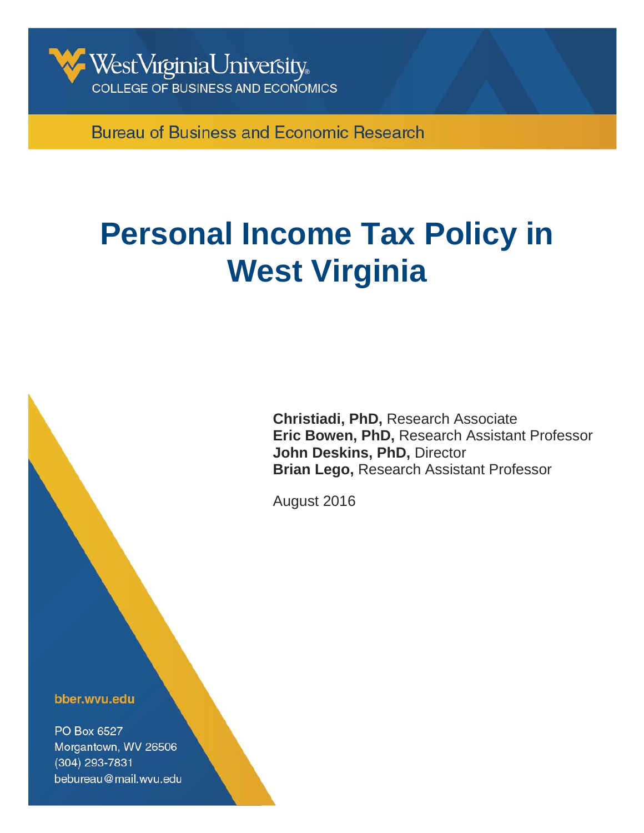

**Bureau of Business and Economic Research** 

# **Personal Income Tax Policy in West Virginia**

**Christiadi, PhD,** Research Associate **Eric Bowen, PhD,** Research Assistant Professor **John Deskins, PhD,** Director **Brian Lego,** Research Assistant Professor

August 2016

Bureau of Business & Economic Research

bber.wvu.edu

PO Box 6527 Morgantown, WV 26506 (304) 293-7831 bebureau@mail.wvu.edu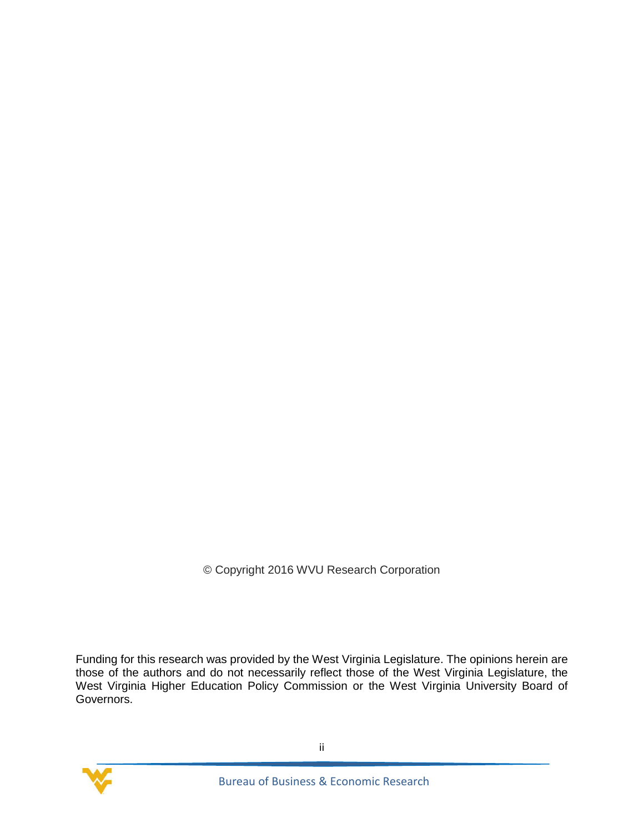© Copyright 2016 WVU Research Corporation

Funding for this research was provided by the West Virginia Legislature. The opinions herein are those of the authors and do not necessarily reflect those of the West Virginia Legislature, the West Virginia Higher Education Policy Commission or the West Virginia University Board of Governors.

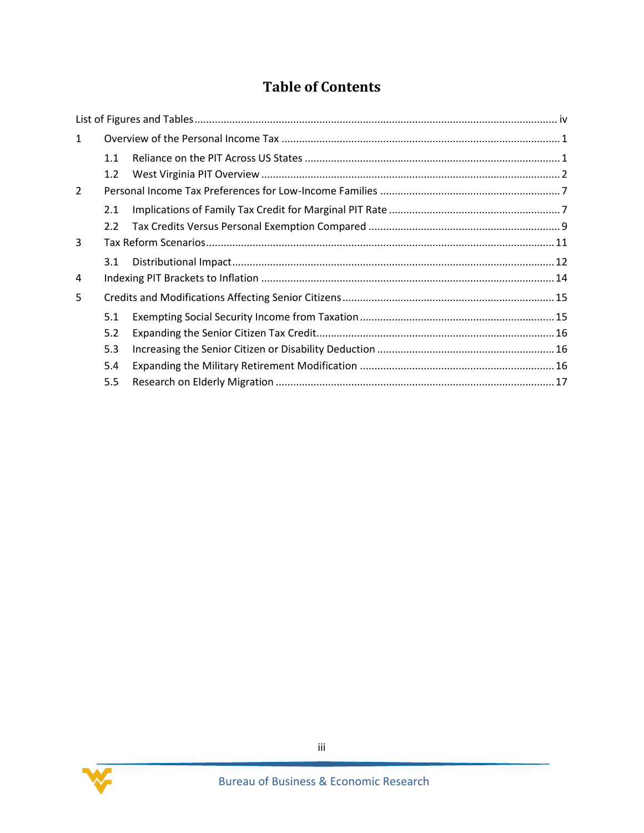## **Table of Contents**

| $\mathbf{1}$ |     |  |  |  |
|--------------|-----|--|--|--|
|              | 1.1 |  |  |  |
|              | 1.2 |  |  |  |
| 2            |     |  |  |  |
|              | 2.1 |  |  |  |
|              | 2.2 |  |  |  |
| 3            |     |  |  |  |
|              | 3.1 |  |  |  |
| 4            |     |  |  |  |
| 5            |     |  |  |  |
|              | 5.1 |  |  |  |
|              | 5.2 |  |  |  |
|              | 5.3 |  |  |  |
|              | 5.4 |  |  |  |
|              | 5.5 |  |  |  |

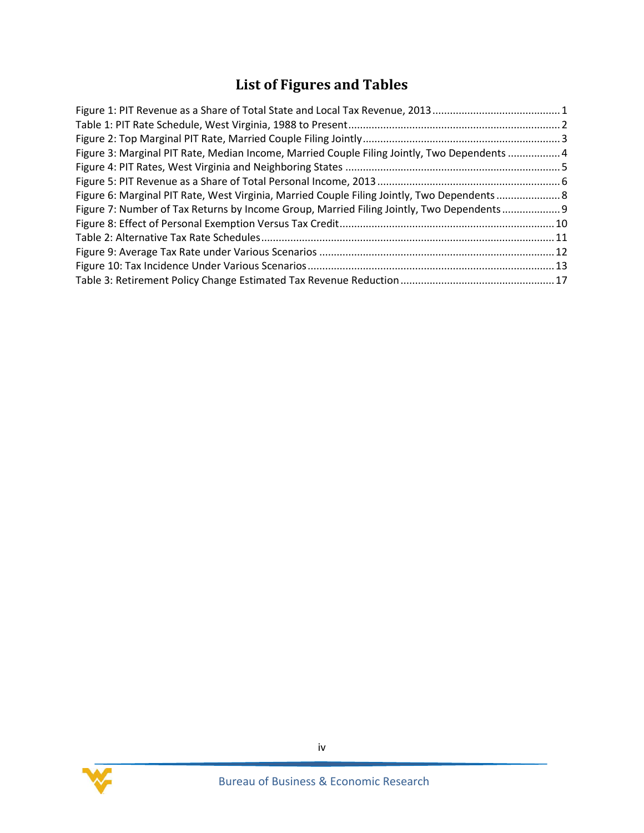## **List of Figures and Tables**

<span id="page-3-0"></span>

| Figure 3: Marginal PIT Rate, Median Income, Married Couple Filing Jointly, Two Dependents  4 |  |
|----------------------------------------------------------------------------------------------|--|
|                                                                                              |  |
|                                                                                              |  |
| Figure 6: Marginal PIT Rate, West Virginia, Married Couple Filing Jointly, Two Dependents 8  |  |
| Figure 7: Number of Tax Returns by Income Group, Married Filing Jointly, Two Dependents 9    |  |
|                                                                                              |  |
|                                                                                              |  |
|                                                                                              |  |
|                                                                                              |  |
|                                                                                              |  |

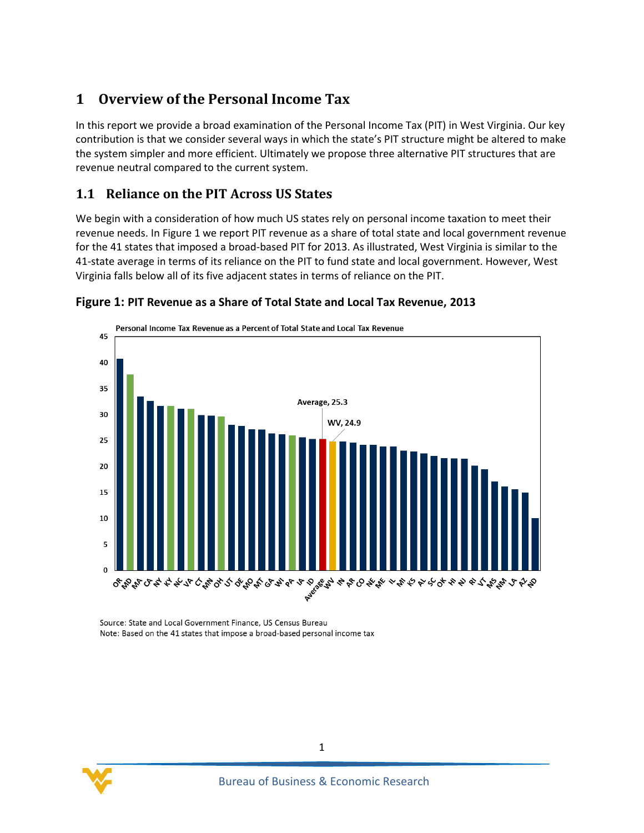## <span id="page-4-0"></span>**1 Overview of the Personal Income Tax**

In this report we provide a broad examination of the Personal Income Tax (PIT) in West Virginia. Our key contribution is that we consider several ways in which the state's PIT structure might be altered to make the system simpler and more efficient. Ultimately we propose three alternative PIT structures that are revenue neutral compared to the current system.

#### <span id="page-4-1"></span>**1.1 Reliance on the PIT Across US States**

We begin with a consideration of how much US states rely on personal income taxation to meet their revenue needs. In Figure 1 we report PIT revenue as a share of total state and local government revenue for the 41 states that imposed a broad-based PIT for 2013. As illustrated, West Virginia is similar to the 41-state average in terms of its reliance on the PIT to fund state and local government. However, West Virginia falls below all of its five adjacent states in terms of reliance on the PIT.



#### <span id="page-4-2"></span>**Figure 1: PIT Revenue as a Share of Total State and Local Tax Revenue, 2013**

Source: State and Local Government Finance, US Census Bureau Note: Based on the 41 states that impose a broad-based personal income tax

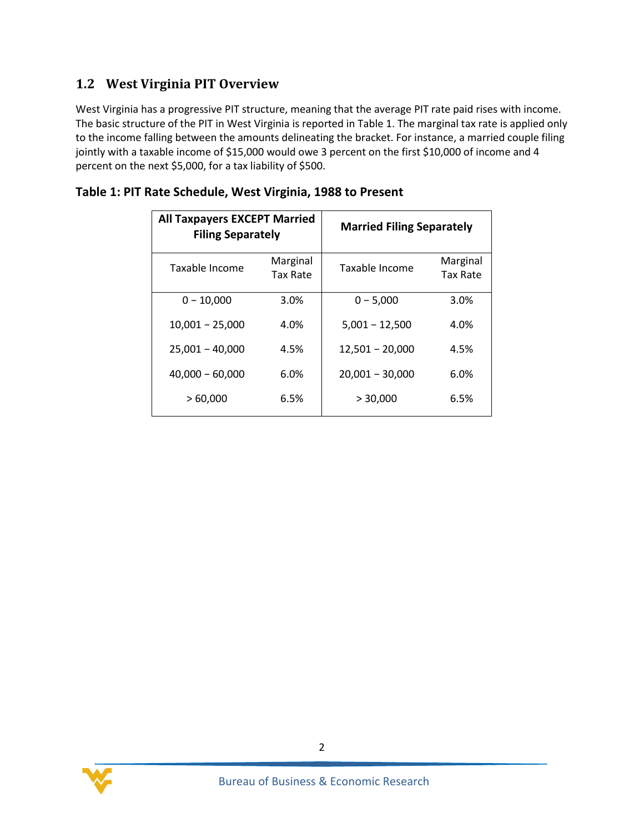#### <span id="page-5-0"></span>**1.2 West Virginia PIT Overview**

West Virginia has a progressive PIT structure, meaning that the average PIT rate paid rises with income. The basic structure of the PIT in West Virginia is reported in [Table 1.](#page-5-1) The marginal tax rate is applied only to the income falling between the amounts delineating the bracket. For instance, a married couple filing jointly with a taxable income of \$15,000 would owe 3 percent on the first \$10,000 of income and 4 percent on the next \$5,000, for a tax liability of \$500.

| <b>All Taxpayers EXCEPT Married</b><br><b>Filing Separately</b> |                      | <b>Married Filing Separately</b> |                      |  |
|-----------------------------------------------------------------|----------------------|----------------------------------|----------------------|--|
| Taxable Income                                                  | Marginal<br>Tax Rate | Taxable Income                   | Marginal<br>Tax Rate |  |
| $0 - 10.000$                                                    | 3.0%                 | $0 - 5,000$                      | 3.0%                 |  |
| $10,001 - 25,000$                                               | 4.0%                 | $5,001 - 12,500$                 | 4.0%                 |  |
| $25,001 - 40,000$                                               | 4.5%                 | $12,501 - 20,000$                | 4.5%                 |  |
| $40,000 - 60,000$                                               | 6.0%                 | $20,001 - 30,000$                | 6.0%                 |  |
| >60,000                                                         | 6.5%                 | > 30,000                         | 6.5%                 |  |

#### <span id="page-5-1"></span>**Table 1: PIT Rate Schedule, West Virginia, 1988 to Present**

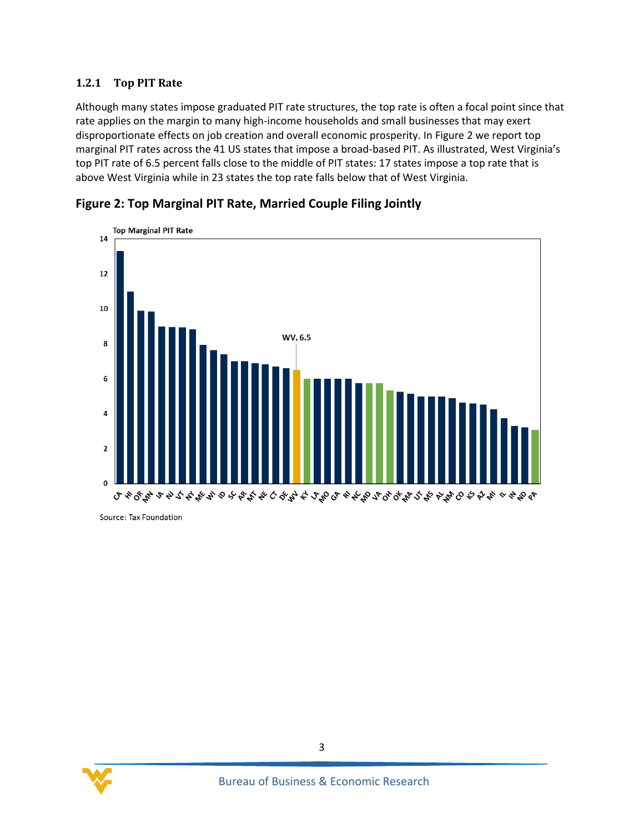#### **1.2.1 Top PIT Rate**

Although many states impose graduated PIT rate structures, the top rate is often a focal point since that rate applies on the margin to many high-income households and small businesses that may exert disproportionate effects on job creation and overall economic prosperity. In Figure 2 we report top marginal PIT rates across the 41 US states that impose a broad-based PIT. As illustrated, West Virginia's top PIT rate of 6.5 percent falls close to the middle of PIT states: 17 states impose a top rate that is above West Virginia while in 23 states the top rate falls below that of West Virginia.



<span id="page-6-0"></span>**Figure 2: Top Marginal PIT Rate, Married Couple Filing Jointly**

Source: Tax Foundation

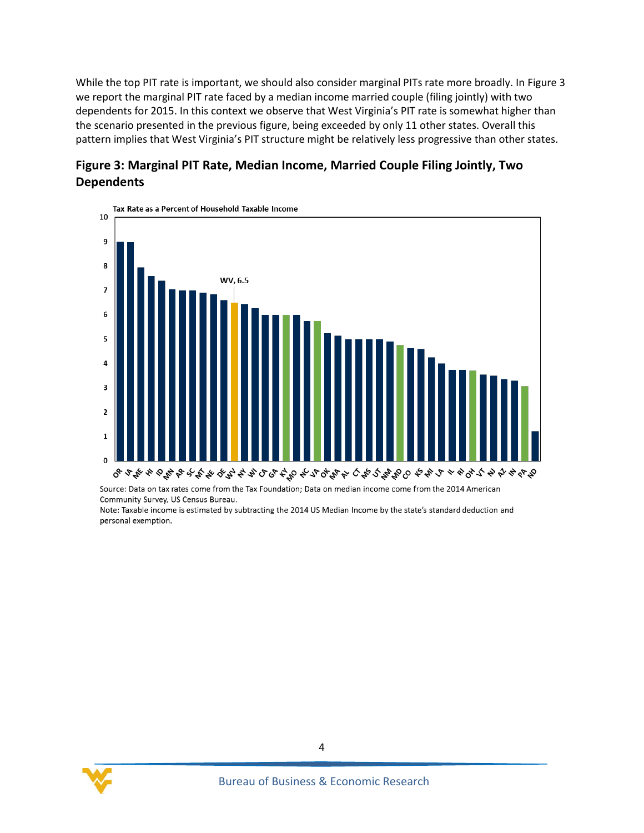While the top PIT rate is important, we should also consider marginal PITs rate more broadly. In Figure 3 we report the marginal PIT rate faced by a median income married couple (filing jointly) with two dependents for 2015. In this context we observe that West Virginia's PIT rate is somewhat higher than the scenario presented in the previous figure, being exceeded by only 11 other states. Overall this pattern implies that West Virginia's PIT structure might be relatively less progressive than other states.

<span id="page-7-0"></span>



Source: Data on tax rates come from the Tax Foundation; Data on median income come from the 2014 American Community Survey, US Census Bureau.

Note: Taxable income is estimated by subtracting the 2014 US Median Income by the state's standard deduction and personal exemption.

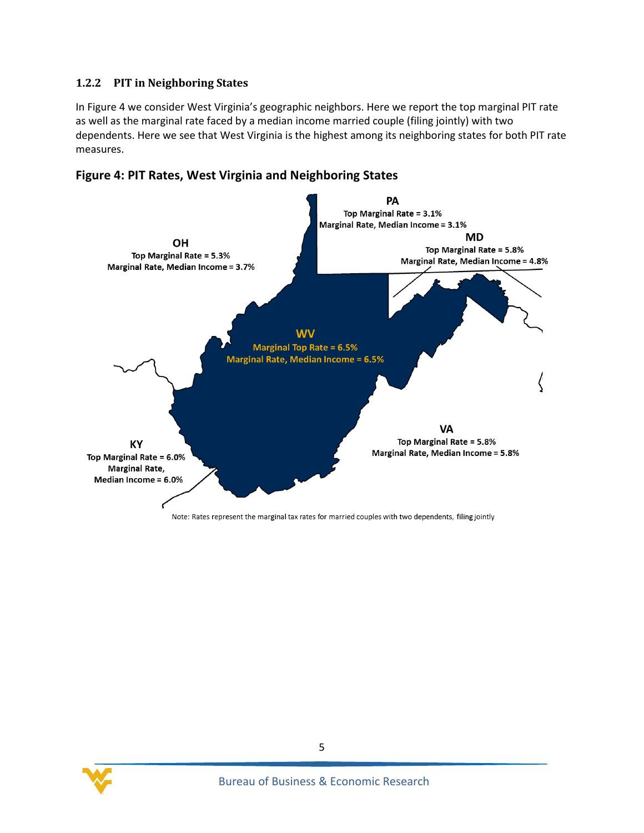#### **1.2.2 PIT in Neighboring States**

In Figure 4 we consider West Virginia's geographic neighbors. Here we report the top marginal PIT rate as well as the marginal rate faced by a median income married couple (filing jointly) with two dependents. Here we see that West Virginia is the highest among its neighboring states for both PIT rate measures.

<span id="page-8-0"></span>



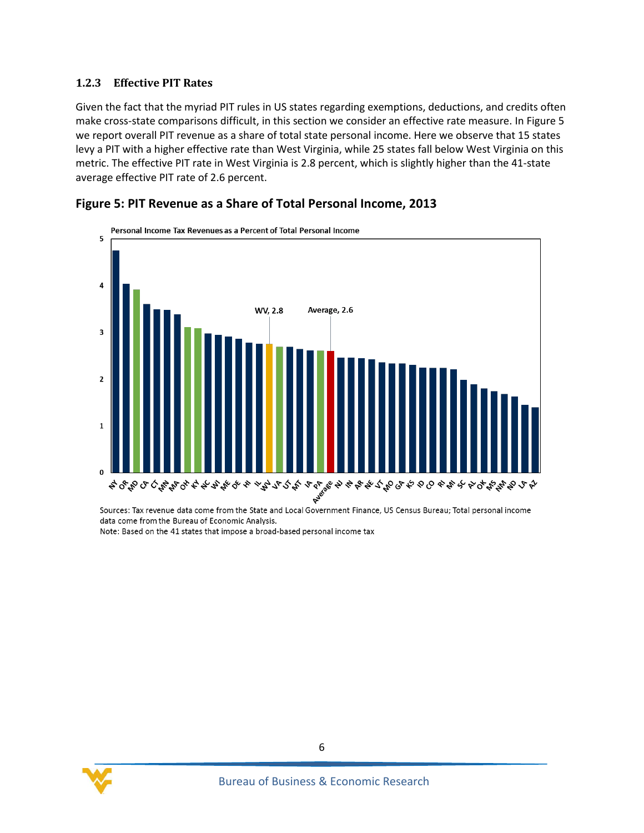#### **1.2.3 Effective PIT Rates**

Given the fact that the myriad PIT rules in US states regarding exemptions, deductions, and credits often make cross-state comparisons difficult, in this section we consider an effective rate measure. In Figure 5 we report overall PIT revenue as a share of total state personal income. Here we observe that 15 states levy a PIT with a higher effective rate than West Virginia, while 25 states fall below West Virginia on this metric. The effective PIT rate in West Virginia is 2.8 percent, which is slightly higher than the 41-state average effective PIT rate of 2.6 percent.



#### <span id="page-9-0"></span>**Figure 5: PIT Revenue as a Share of Total Personal Income, 2013**

Sources: Tax revenue data come from the State and Local Government Finance, US Census Bureau; Total personal income data come from the Bureau of Economic Analysis. Note: Based on the 41 states that impose a broad-based personal income tax

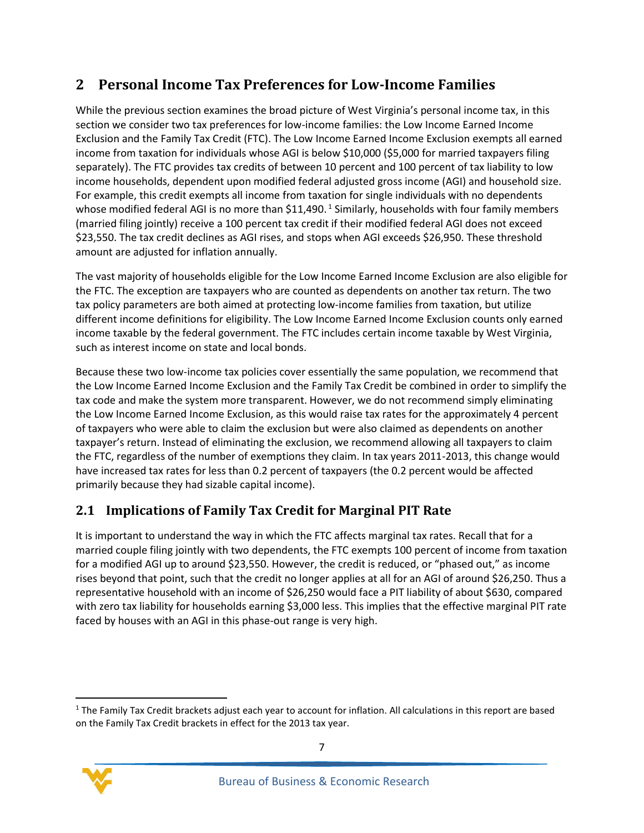## <span id="page-10-0"></span>**2 Personal Income Tax Preferences for Low-Income Families**

While the previous section examines the broad picture of West Virginia's personal income tax, in this section we consider two tax preferences for low-income families: the Low Income Earned Income Exclusion and the Family Tax Credit (FTC). The Low Income Earned Income Exclusion exempts all earned income from taxation for individuals whose AGI is below \$10,000 (\$5,000 for married taxpayers filing separately). The FTC provides tax credits of between 10 percent and 100 percent of tax liability to low income households, dependent upon modified federal adjusted gross income (AGI) and household size. For example, this credit exempts all income from taxation for single individuals with no dependents whose modified federal AGI is no more than \$11,490.  $^1$  Similarly, households with four family members (married filing jointly) receive a 100 percent tax credit if their modified federal AGI does not exceed \$23,550. The tax credit declines as AGI rises, and stops when AGI exceeds \$26,950. These threshold amount are adjusted for inflation annually.

The vast majority of households eligible for the Low Income Earned Income Exclusion are also eligible for the FTC. The exception are taxpayers who are counted as dependents on another tax return. The two tax policy parameters are both aimed at protecting low-income families from taxation, but utilize different income definitions for eligibility. The Low Income Earned Income Exclusion counts only earned income taxable by the federal government. The FTC includes certain income taxable by West Virginia, such as interest income on state and local bonds.

Because these two low-income tax policies cover essentially the same population, we recommend that the Low Income Earned Income Exclusion and the Family Tax Credit be combined in order to simplify the tax code and make the system more transparent. However, we do not recommend simply eliminating the Low Income Earned Income Exclusion, as this would raise tax rates for the approximately 4 percent of taxpayers who were able to claim the exclusion but were also claimed as dependents on another taxpayer's return. Instead of eliminating the exclusion, we recommend allowing all taxpayers to claim the FTC, regardless of the number of exemptions they claim. In tax years 2011-2013, this change would have increased tax rates for less than 0.2 percent of taxpayers (the 0.2 percent would be affected primarily because they had sizable capital income).

## <span id="page-10-1"></span>**2.1 Implications of Family Tax Credit for Marginal PIT Rate**

It is important to understand the way in which the FTC affects marginal tax rates. Recall that for a married couple filing jointly with two dependents, the FTC exempts 100 percent of income from taxation for a modified AGI up to around \$23,550. However, the credit is reduced, or "phased out," as income rises beyond that point, such that the credit no longer applies at all for an AGI of around \$26,250. Thus a representative household with an income of \$26,250 would face a PIT liability of about \$630, compared with zero tax liability for households earning \$3,000 less. This implies that the effective marginal PIT rate faced by houses with an AGI in this phase-out range is very high.

 $1$  The Family Tax Credit brackets adjust each year to account for inflation. All calculations in this report are based on the Family Tax Credit brackets in effect for the 2013 tax year.



 $\overline{\phantom{a}}$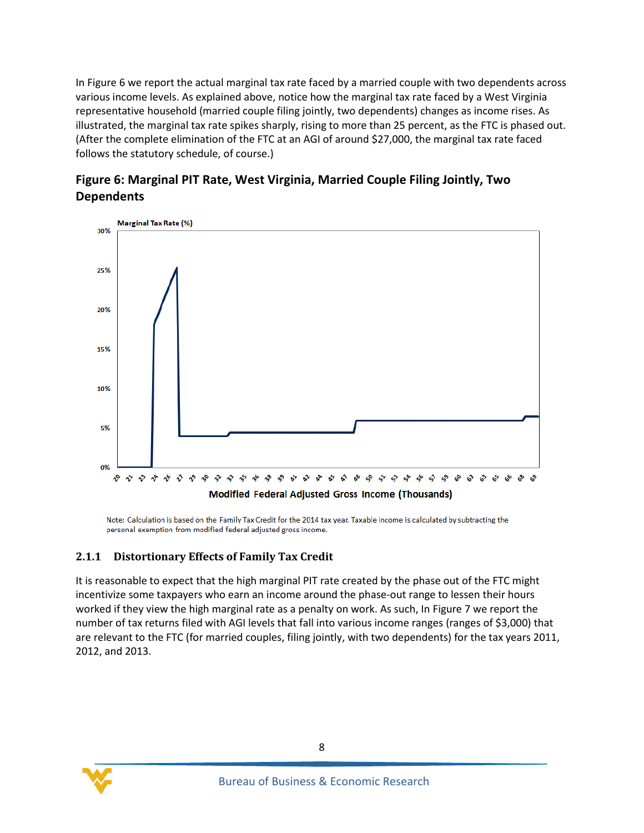In Figure 6 we report the actual marginal tax rate faced by a married couple with two dependents across various income levels. As explained above, notice how the marginal tax rate faced by a West Virginia representative household (married couple filing jointly, two dependents) changes as income rises. As illustrated, the marginal tax rate spikes sharply, rising to more than 25 percent, as the FTC is phased out. (After the complete elimination of the FTC at an AGI of around \$27,000, the marginal tax rate faced follows the statutory schedule, of course.)

<span id="page-11-0"></span>



Note: Calculation is based on the Family Tax Credit for the 2014 tax year. Taxable income is calculated by subtracting the personal exemption from modified federal adjusted gross income.

#### **2.1.1 Distortionary Effects of Family Tax Credit**

It is reasonable to expect that the high marginal PIT rate created by the phase out of the FTC might incentivize some taxpayers who earn an income around the phase-out range to lessen their hours worked if they view the high marginal rate as a penalty on work. As such, In Figure 7 we report the number of tax returns filed with AGI levels that fall into various income ranges (ranges of \$3,000) that are relevant to the FTC (for married couples, filing jointly, with two dependents) for the tax years 2011, 2012, and 2013.

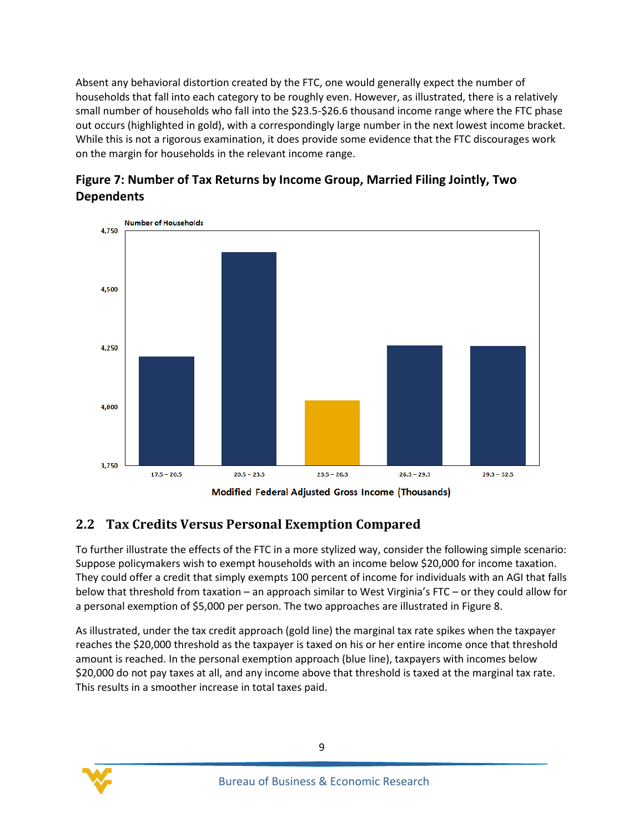Absent any behavioral distortion created by the FTC, one would generally expect the number of households that fall into each category to be roughly even. However, as illustrated, there is a relatively small number of households who fall into the \$23.5-\$26.6 thousand income range where the FTC phase out occurs (highlighted in gold), with a correspondingly large number in the next lowest income bracket. While this is not a rigorous examination, it does provide some evidence that the FTC discourages work on the margin for households in the relevant income range.



#### <span id="page-12-1"></span>**Figure 7: Number of Tax Returns by Income Group, Married Filing Jointly, Two Dependents**

## <span id="page-12-0"></span>**2.2 Tax Credits Versus Personal Exemption Compared**

To further illustrate the effects of the FTC in a more stylized way, consider the following simple scenario: Suppose policymakers wish to exempt households with an income below \$20,000 for income taxation. They could offer a credit that simply exempts 100 percent of income for individuals with an AGI that falls below that threshold from taxation – an approach similar to West Virginia's FTC – or they could allow for a personal exemption of \$5,000 per person. The two approaches are illustrated in Figure 8.

As illustrated, under the tax credit approach (gold line) the marginal tax rate spikes when the taxpayer reaches the \$20,000 threshold as the taxpayer is taxed on his or her entire income once that threshold amount is reached. In the personal exemption approach (blue line), taxpayers with incomes below \$20,000 do not pay taxes at all, and any income above that threshold is taxed at the marginal tax rate. This results in a smoother increase in total taxes paid.

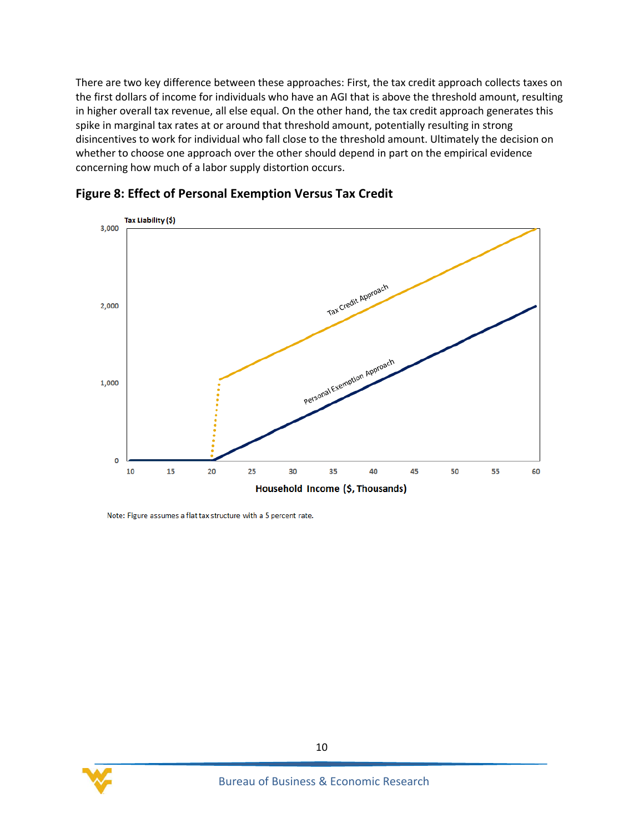There are two key difference between these approaches: First, the tax credit approach collects taxes on the first dollars of income for individuals who have an AGI that is above the threshold amount, resulting in higher overall tax revenue, all else equal. On the other hand, the tax credit approach generates this spike in marginal tax rates at or around that threshold amount, potentially resulting in strong disincentives to work for individual who fall close to the threshold amount. Ultimately the decision on whether to choose one approach over the other should depend in part on the empirical evidence concerning how much of a labor supply distortion occurs.



#### <span id="page-13-0"></span>**Figure 8: Effect of Personal Exemption Versus Tax Credit**

Note: Figure assumes a flat tax structure with a 5 percent rate.

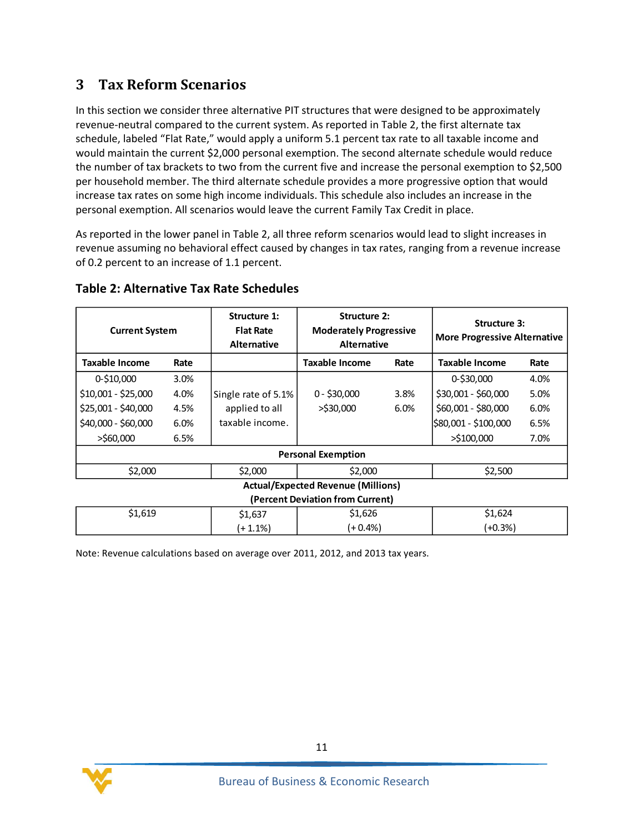## <span id="page-14-0"></span>**3 Tax Reform Scenarios**

In this section we consider three alternative PIT structures that were designed to be approximately revenue-neutral compared to the current system. As reported in Table 2, the first alternate tax schedule, labeled "Flat Rate," would apply a uniform 5.1 percent tax rate to all taxable income and would maintain the current \$2,000 personal exemption. The second alternate schedule would reduce the number of tax brackets to two from the current five and increase the personal exemption to \$2,500 per household member. The third alternate schedule provides a more progressive option that would increase tax rates on some high income individuals. This schedule also includes an increase in the personal exemption. All scenarios would leave the current Family Tax Credit in place.

As reported in the lower panel in Table 2, all three reform scenarios would lead to slight increases in revenue assuming no behavioral effect caused by changes in tax rates, ranging from a revenue increase of 0.2 percent to an increase of 1.1 percent.

| <b>Current System</b>                     |      | Structure 1:<br><b>Flat Rate</b><br><b>Alternative</b> | <b>Structure 2:</b><br><b>Moderately Progressive</b><br><b>Alternative</b> |      | <b>Structure 3:</b><br><b>More Progressive Alternative</b> |      |
|-------------------------------------------|------|--------------------------------------------------------|----------------------------------------------------------------------------|------|------------------------------------------------------------|------|
| Taxable Income                            | Rate |                                                        | Taxable Income                                                             | Rate | <b>Taxable Income</b>                                      | Rate |
| $0 - $10,000$                             | 3.0% |                                                        |                                                                            |      | 0-\$30,000                                                 | 4.0% |
| \$10,001 - \$25,000                       | 4.0% | Single rate of 5.1%                                    | $0 - $30,000$                                                              | 3.8% | \$30,001 - \$60,000                                        | 5.0% |
| \$25,001 - \$40,000                       | 4.5% | applied to all                                         | $>$ \$30,000                                                               | 6.0% | \$60,001 - \$80,000                                        | 6.0% |
| \$40,000 - \$60,000                       | 6.0% | taxable income.                                        |                                                                            |      | \$80,001 - \$100,000                                       | 6.5% |
| $>$ \$60,000                              | 6.5% |                                                        |                                                                            |      | $>$ \$100,000                                              | 7.0% |
| <b>Personal Exemption</b>                 |      |                                                        |                                                                            |      |                                                            |      |
| \$2,000                                   |      | \$2,000                                                | \$2,000                                                                    |      | \$2,500                                                    |      |
| <b>Actual/Expected Revenue (Millions)</b> |      |                                                        |                                                                            |      |                                                            |      |
| (Percent Deviation from Current)          |      |                                                        |                                                                            |      |                                                            |      |
| \$1,619                                   |      | \$1,637                                                | \$1,626                                                                    |      | \$1,624                                                    |      |
|                                           |      | $(+ 1.1\%)$                                            | $(+0.4\%)$                                                                 |      | (+0.3%)                                                    |      |

#### <span id="page-14-1"></span>**Table 2: Alternative Tax Rate Schedules**

Note: Revenue calculations based on average over 2011, 2012, and 2013 tax years.

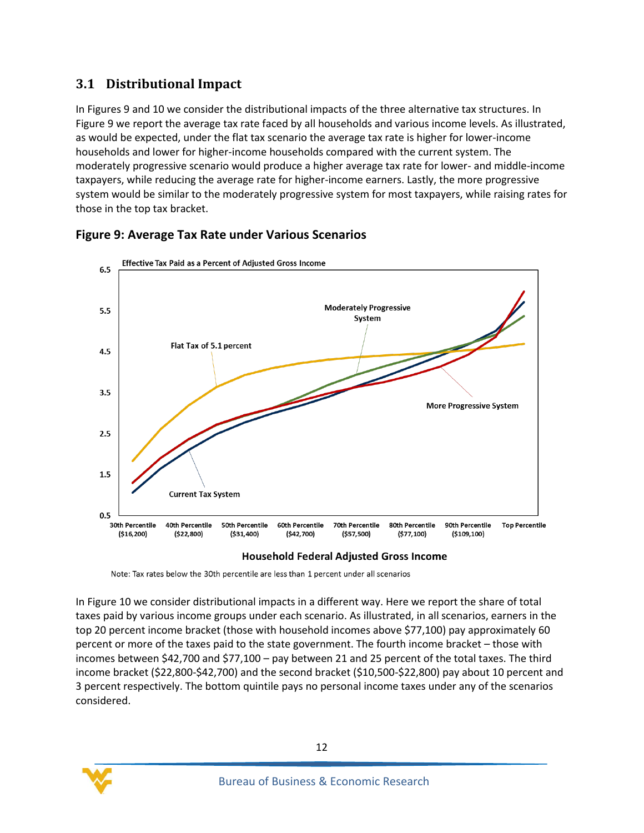#### <span id="page-15-0"></span>**3.1 Distributional Impact**

In Figures 9 and 10 we consider the distributional impacts of the three alternative tax structures. In Figure 9 we report the average tax rate faced by all households and various income levels. As illustrated, as would be expected, under the flat tax scenario the average tax rate is higher for lower-income households and lower for higher-income households compared with the current system. The moderately progressive scenario would produce a higher average tax rate for lower- and middle-income taxpayers, while reducing the average rate for higher-income earners. Lastly, the more progressive system would be similar to the moderately progressive system for most taxpayers, while raising rates for those in the top tax bracket.



#### <span id="page-15-1"></span>**Figure 9: Average Tax Rate under Various Scenarios**

#### **Household Federal Adjusted Gross Income**

Note: Tax rates below the 30th percentile are less than 1 percent under all scenarios

In Figure 10 we consider distributional impacts in a different way. Here we report the share of total taxes paid by various income groups under each scenario. As illustrated, in all scenarios, earners in the top 20 percent income bracket (those with household incomes above \$77,100) pay approximately 60 percent or more of the taxes paid to the state government. The fourth income bracket – those with incomes between \$42,700 and \$77,100 – pay between 21 and 25 percent of the total taxes. The third income bracket (\$22,800-\$42,700) and the second bracket (\$10,500-\$22,800) pay about 10 percent and 3 percent respectively. The bottom quintile pays no personal income taxes under any of the scenarios considered.

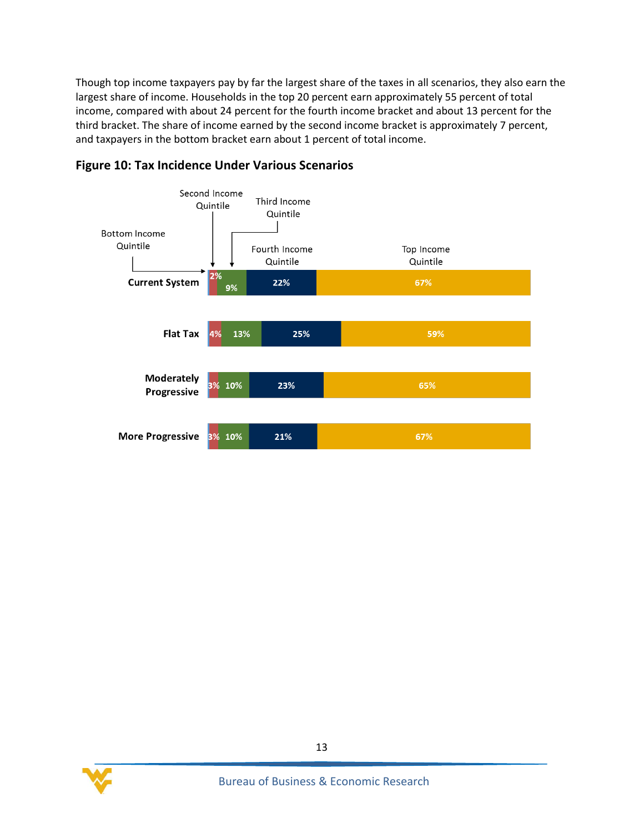Though top income taxpayers pay by far the largest share of the taxes in all scenarios, they also earn the largest share of income. Households in the top 20 percent earn approximately 55 percent of total income, compared with about 24 percent for the fourth income bracket and about 13 percent for the third bracket. The share of income earned by the second income bracket is approximately 7 percent, and taxpayers in the bottom bracket earn about 1 percent of total income.



#### <span id="page-16-0"></span>**Figure 10: Tax Incidence Under Various Scenarios**

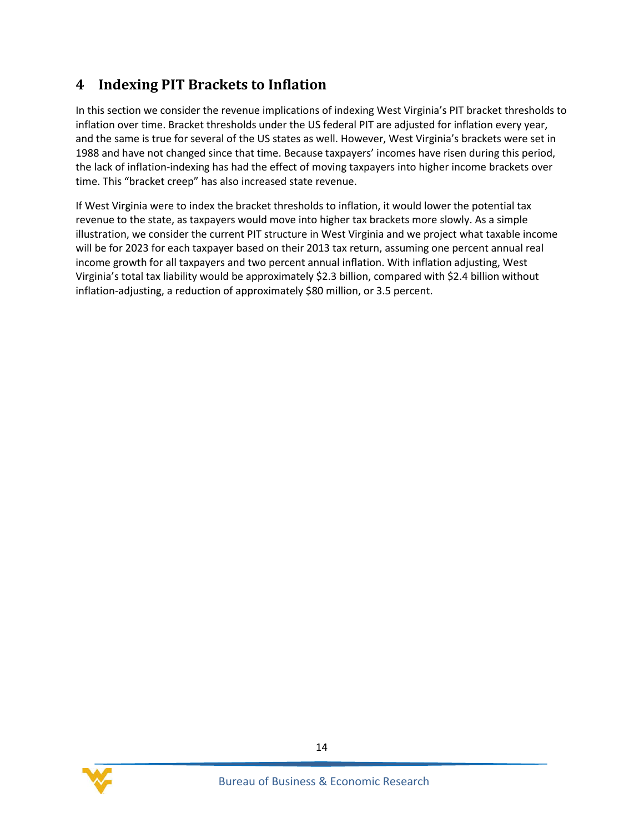## <span id="page-17-0"></span>**4 Indexing PIT Brackets to Inflation**

In this section we consider the revenue implications of indexing West Virginia's PIT bracket thresholds to inflation over time. Bracket thresholds under the US federal PIT are adjusted for inflation every year, and the same is true for several of the US states as well. However, West Virginia's brackets were set in 1988 and have not changed since that time. Because taxpayers' incomes have risen during this period, the lack of inflation-indexing has had the effect of moving taxpayers into higher income brackets over time. This "bracket creep" has also increased state revenue.

If West Virginia were to index the bracket thresholds to inflation, it would lower the potential tax revenue to the state, as taxpayers would move into higher tax brackets more slowly. As a simple illustration, we consider the current PIT structure in West Virginia and we project what taxable income will be for 2023 for each taxpayer based on their 2013 tax return, assuming one percent annual real income growth for all taxpayers and two percent annual inflation. With inflation adjusting, West Virginia's total tax liability would be approximately \$2.3 billion, compared with \$2.4 billion without inflation-adjusting, a reduction of approximately \$80 million, or 3.5 percent.

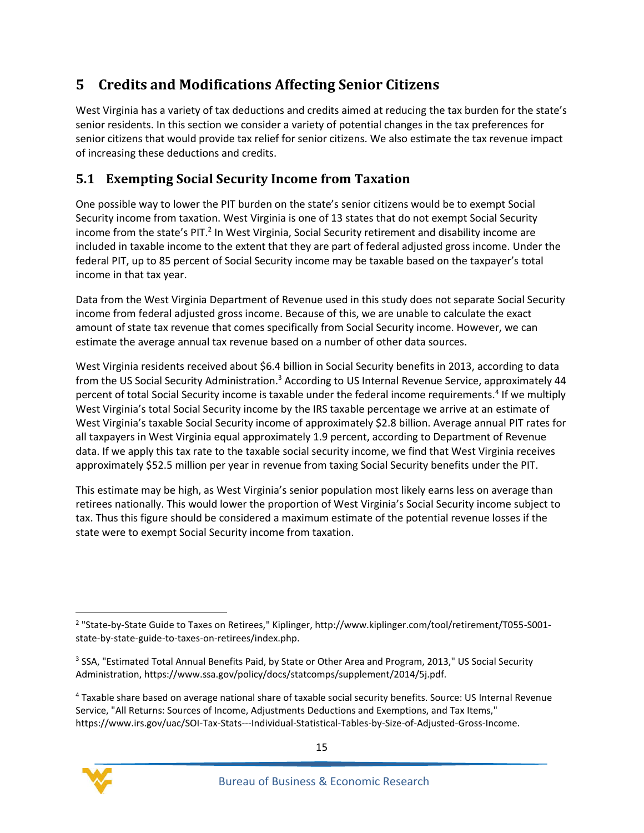## <span id="page-18-0"></span>**5 Credits and Modifications Affecting Senior Citizens**

West Virginia has a variety of tax deductions and credits aimed at reducing the tax burden for the state's senior residents. In this section we consider a variety of potential changes in the tax preferences for senior citizens that would provide tax relief for senior citizens. We also estimate the tax revenue impact of increasing these deductions and credits.

## <span id="page-18-1"></span>**5.1 Exempting Social Security Income from Taxation**

One possible way to lower the PIT burden on the state's senior citizens would be to exempt Social Security income from taxation. West Virginia is one of 13 states that do not exempt Social Security income from the state's PIT.<sup>2</sup> In West Virginia, Social Security retirement and disability income are included in taxable income to the extent that they are part of federal adjusted gross income. Under the federal PIT, up to 85 percent of Social Security income may be taxable based on the taxpayer's total income in that tax year.

Data from the West Virginia Department of Revenue used in this study does not separate Social Security income from federal adjusted gross income. Because of this, we are unable to calculate the exact amount of state tax revenue that comes specifically from Social Security income. However, we can estimate the average annual tax revenue based on a number of other data sources.

West Virginia residents received about \$6.4 billion in Social Security benefits in 2013, according to data from the US Social Security Administration.<sup>3</sup> According to US Internal Revenue Service, approximately 44 percent of total Social Security income is taxable under the federal income requirements.<sup>4</sup> If we multiply West Virginia's total Social Security income by the IRS taxable percentage we arrive at an estimate of West Virginia's taxable Social Security income of approximately \$2.8 billion. Average annual PIT rates for all taxpayers in West Virginia equal approximately 1.9 percent, according to Department of Revenue data. If we apply this tax rate to the taxable social security income, we find that West Virginia receives approximately \$52.5 million per year in revenue from taxing Social Security benefits under the PIT.

This estimate may be high, as West Virginia's senior population most likely earns less on average than retirees nationally. This would lower the proportion of West Virginia's Social Security income subject to tax. Thus this figure should be considered a maximum estimate of the potential revenue losses if the state were to exempt Social Security income from taxation.

<sup>4</sup> Taxable share based on average national share of taxable social security benefits. Source: US Internal Revenue Service, "All Returns: Sources of Income, Adjustments Deductions and Exemptions, and Tax Items," https://www.irs.gov/uac/SOI-Tax-Stats---Individual-Statistical-Tables-by-Size-of-Adjusted-Gross-Income.



 $\overline{a}$ <sup>2</sup> "State-by-State Guide to Taxes on Retirees," Kiplinger, http://www.kiplinger.com/tool/retirement/T055-S001state-by-state-guide-to-taxes-on-retirees/index.php.

<sup>&</sup>lt;sup>3</sup> SSA, "Estimated Total Annual Benefits Paid, by State or Other Area and Program, 2013," US Social Security Administration, https://www.ssa.gov/policy/docs/statcomps/supplement/2014/5j.pdf.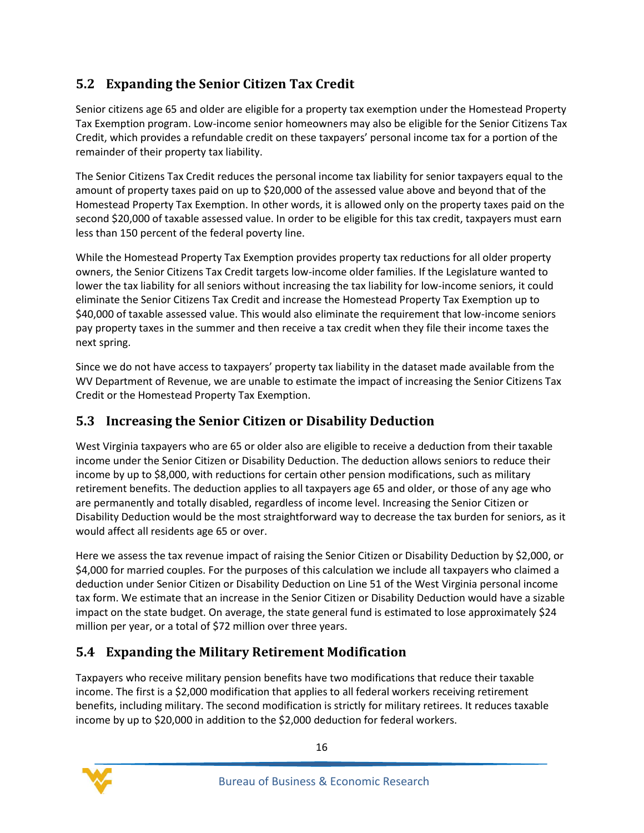## <span id="page-19-0"></span>**5.2 Expanding the Senior Citizen Tax Credit**

Senior citizens age 65 and older are eligible for a property tax exemption under the Homestead Property Tax Exemption program. Low-income senior homeowners may also be eligible for the Senior Citizens Tax Credit, which provides a refundable credit on these taxpayers' personal income tax for a portion of the remainder of their property tax liability.

The Senior Citizens Tax Credit reduces the personal income tax liability for senior taxpayers equal to the amount of property taxes paid on up to \$20,000 of the assessed value above and beyond that of the Homestead Property Tax Exemption. In other words, it is allowed only on the property taxes paid on the second \$20,000 of taxable assessed value. In order to be eligible for this tax credit, taxpayers must earn less than 150 percent of the federal poverty line.

While the Homestead Property Tax Exemption provides property tax reductions for all older property owners, the Senior Citizens Tax Credit targets low-income older families. If the Legislature wanted to lower the tax liability for all seniors without increasing the tax liability for low-income seniors, it could eliminate the Senior Citizens Tax Credit and increase the Homestead Property Tax Exemption up to \$40,000 of taxable assessed value. This would also eliminate the requirement that low-income seniors pay property taxes in the summer and then receive a tax credit when they file their income taxes the next spring.

Since we do not have access to taxpayers' property tax liability in the dataset made available from the WV Department of Revenue, we are unable to estimate the impact of increasing the Senior Citizens Tax Credit or the Homestead Property Tax Exemption.

## <span id="page-19-1"></span>**5.3 Increasing the Senior Citizen or Disability Deduction**

West Virginia taxpayers who are 65 or older also are eligible to receive a deduction from their taxable income under the Senior Citizen or Disability Deduction. The deduction allows seniors to reduce their income by up to \$8,000, with reductions for certain other pension modifications, such as military retirement benefits. The deduction applies to all taxpayers age 65 and older, or those of any age who are permanently and totally disabled, regardless of income level. Increasing the Senior Citizen or Disability Deduction would be the most straightforward way to decrease the tax burden for seniors, as it would affect all residents age 65 or over.

Here we assess the tax revenue impact of raising the Senior Citizen or Disability Deduction by \$2,000, or \$4,000 for married couples. For the purposes of this calculation we include all taxpayers who claimed a deduction under Senior Citizen or Disability Deduction on Line 51 of the West Virginia personal income tax form. We estimate that an increase in the Senior Citizen or Disability Deduction would have a sizable impact on the state budget. On average, the state general fund is estimated to lose approximately \$24 million per year, or a total of \$72 million over three years.

## <span id="page-19-2"></span>**5.4 Expanding the Military Retirement Modification**

Taxpayers who receive military pension benefits have two modifications that reduce their taxable income. The first is a \$2,000 modification that applies to all federal workers receiving retirement benefits, including military. The second modification is strictly for military retirees. It reduces taxable income by up to \$20,000 in addition to the \$2,000 deduction for federal workers.

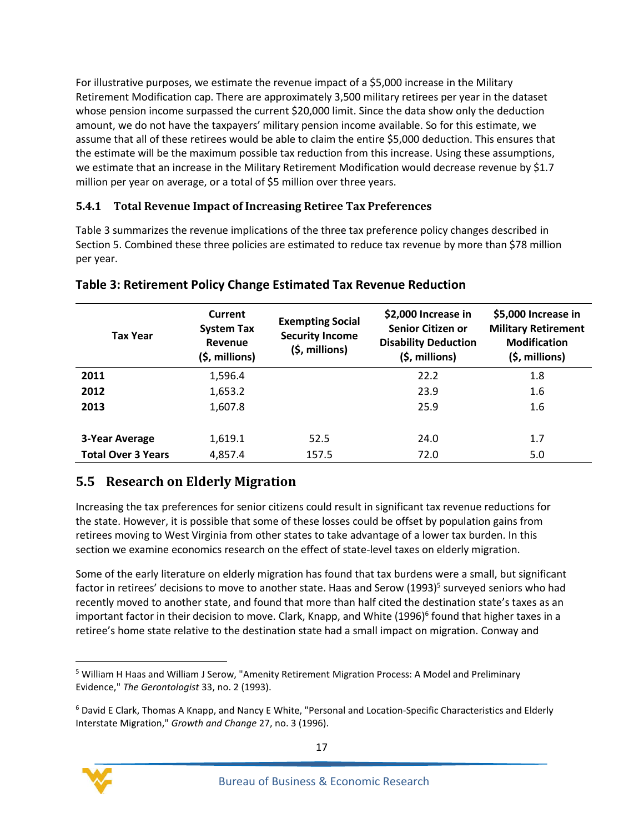For illustrative purposes, we estimate the revenue impact of a \$5,000 increase in the Military Retirement Modification cap. There are approximately 3,500 military retirees per year in the dataset whose pension income surpassed the current \$20,000 limit. Since the data show only the deduction amount, we do not have the taxpayers' military pension income available. So for this estimate, we assume that all of these retirees would be able to claim the entire \$5,000 deduction. This ensures that the estimate will be the maximum possible tax reduction from this increase. Using these assumptions, we estimate that an increase in the Military Retirement Modification would decrease revenue by \$1.7 million per year on average, or a total of \$5 million over three years.

#### **5.4.1 Total Revenue Impact of Increasing Retiree Tax Preferences**

Table 3 summarizes the revenue implications of the three tax preference policy changes described in Sectio[n 5.](#page-18-0) Combined these three policies are estimated to reduce tax revenue by more than \$78 million per year.

| <b>Tax Year</b>           | <b>Current</b><br><b>System Tax</b><br>Revenue<br>$(5,$ millions) | <b>Exempting Social</b><br><b>Security Income</b><br>(\$, millions) | \$2,000 Increase in<br>Senior Citizen or<br><b>Disability Deduction</b><br>(\$, millions) | \$5,000 Increase in<br><b>Military Retirement</b><br><b>Modification</b><br>$(5,$ millions) |
|---------------------------|-------------------------------------------------------------------|---------------------------------------------------------------------|-------------------------------------------------------------------------------------------|---------------------------------------------------------------------------------------------|
| 2011                      | 1,596.4                                                           |                                                                     | 22.2                                                                                      | 1.8                                                                                         |
| 2012                      | 1,653.2                                                           |                                                                     | 23.9                                                                                      | 1.6                                                                                         |
| 2013                      | 1,607.8                                                           |                                                                     | 25.9                                                                                      | $1.6\phantom{0}$                                                                            |
| 3-Year Average            | 1,619.1                                                           | 52.5                                                                | 24.0                                                                                      | 1.7                                                                                         |
| <b>Total Over 3 Years</b> | 4,857.4                                                           | 157.5                                                               | 72.0                                                                                      | 5.0                                                                                         |

#### <span id="page-20-1"></span>**Table 3: Retirement Policy Change Estimated Tax Revenue Reduction**

## <span id="page-20-0"></span>**5.5 Research on Elderly Migration**

Increasing the tax preferences for senior citizens could result in significant tax revenue reductions for the state. However, it is possible that some of these losses could be offset by population gains from retirees moving to West Virginia from other states to take advantage of a lower tax burden. In this section we examine economics research on the effect of state-level taxes on elderly migration.

Some of the early literature on elderly migration has found that tax burdens were a small, but significant factor in retirees' decisions to move to another state. Haas and Serow (1993)<sup>5</sup> surveyed seniors who had recently moved to another state, and found that more than half cited the destination state's taxes as an important factor in their decision to move. Clark, Knapp, and White (1996)<sup>6</sup> found that higher taxes in a retiree's home state relative to the destination state had a small impact on migration. Conway and

<sup>6</sup> David E Clark, Thomas A Knapp, and Nancy E White, "Personal and Location‐Specific Characteristics and Elderly Interstate Migration," *Growth and Change* 27, no. 3 (1996).



 $\overline{\phantom{a}}$ 

<sup>5</sup> William H Haas and William J Serow, "Amenity Retirement Migration Process: A Model and Preliminary Evidence," *The Gerontologist* 33, no. 2 (1993).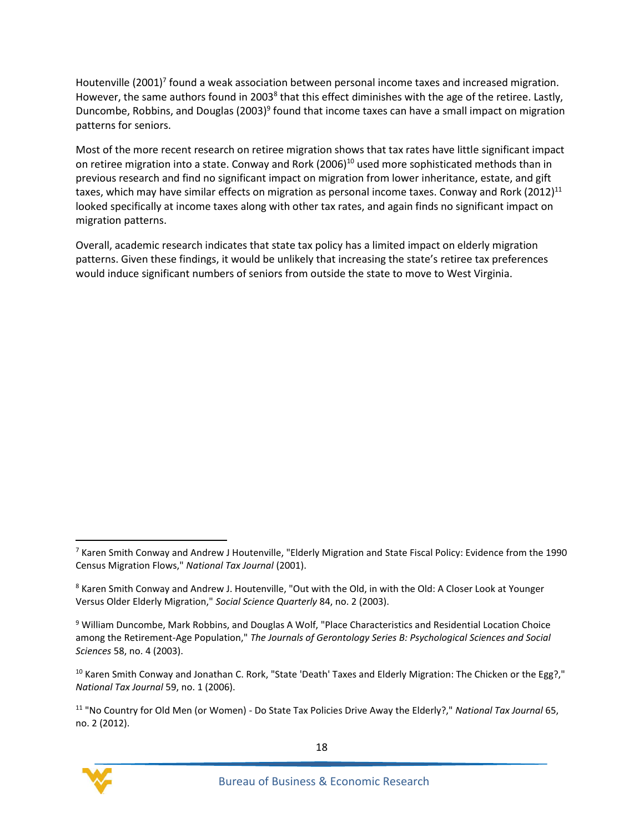Houtenville (2001)<sup>7</sup> found a weak association between personal income taxes and increased migration. However, the same authors found in 2003<sup>8</sup> that this effect diminishes with the age of the retiree. Lastly, Duncombe, Robbins, and Douglas (2003)<sup>9</sup> found that income taxes can have a small impact on migration patterns for seniors.

Most of the more recent research on retiree migration shows that tax rates have little significant impact on retiree migration into a state. Conway and Rork (2006)<sup>10</sup> used more sophisticated methods than in previous research and find no significant impact on migration from lower inheritance, estate, and gift taxes, which may have similar effects on migration as personal income taxes. Conway and Rork (2012)<sup>11</sup> looked specifically at income taxes along with other tax rates, and again finds no significant impact on migration patterns.

Overall, academic research indicates that state tax policy has a limited impact on elderly migration patterns. Given these findings, it would be unlikely that increasing the state's retiree tax preferences would induce significant numbers of seniors from outside the state to move to West Virginia.

<sup>11</sup> "No Country for Old Men (or Women) - Do State Tax Policies Drive Away the Elderly?," *National Tax Journal* 65, no. 2 (2012).



 $\overline{\phantom{a}}$ <sup>7</sup> Karen Smith Conway and Andrew J Houtenville, "Elderly Migration and State Fiscal Policy: Evidence from the 1990 Census Migration Flows," *National Tax Journal* (2001).

<sup>&</sup>lt;sup>8</sup> Karen Smith Conway and Andrew J. Houtenville, "Out with the Old, in with the Old: A Closer Look at Younger Versus Older Elderly Migration," *Social Science Quarterly* 84, no. 2 (2003).

<sup>9</sup> William Duncombe, Mark Robbins, and Douglas A Wolf, "Place Characteristics and Residential Location Choice among the Retirement-Age Population," *The Journals of Gerontology Series B: Psychological Sciences and Social Sciences* 58, no. 4 (2003).

<sup>&</sup>lt;sup>10</sup> Karen Smith Conway and Jonathan C. Rork, "State 'Death' Taxes and Elderly Migration: The Chicken or the Egg?," *National Tax Journal* 59, no. 1 (2006).